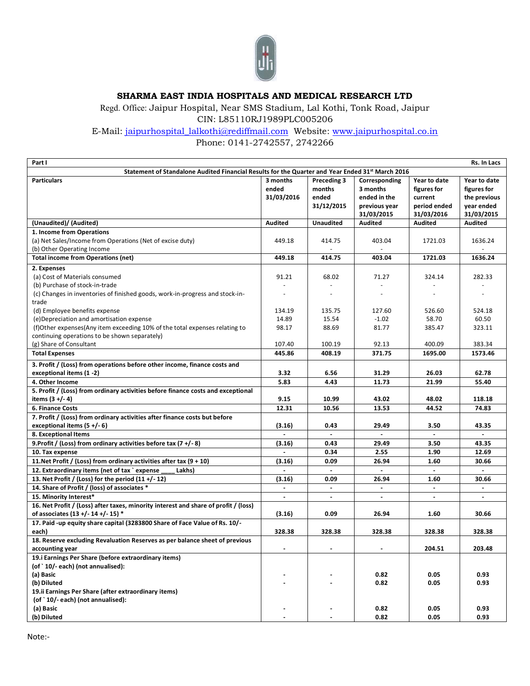

## **SHARMA EAST INDIA HOSPITALS AND MEDICAL RESEARCH LTD**

Regd. Office: Jaipur Hospital, Near SMS Stadium, Lal Kothi, Tonk Road, Jaipur CIN: L85110RJ1989PLC005206

E-Mail: [jaipurhospital\\_lalkothi@rediffmail.com](mailto:jaipurhospital_lalkothi@rediffmail.com) Website: [www.jaipurhospital.co.in](http://www.jaipurhospital.co.in/) 

Phone: 0141-2742557, 2742266

| Part I                                                                                           |                |                  |                |                | Rs. In Lacs    |
|--------------------------------------------------------------------------------------------------|----------------|------------------|----------------|----------------|----------------|
| Statement of Standalone Audited Financial Results for the Quarter and Year Ended 31st March 2016 |                |                  |                |                |                |
| <b>Particulars</b>                                                                               | 3 months       | Preceding 3      | Corresponding  | Year to date   | Year to date   |
|                                                                                                  | ended          | months           | 3 months       | figures for    | figures for    |
|                                                                                                  | 31/03/2016     | ended            | ended in the   | current        | the previous   |
|                                                                                                  |                | 31/12/2015       | previous year  | period ended   | year ended     |
|                                                                                                  |                |                  | 31/03/2015     | 31/03/2016     | 31/03/2015     |
| (Unaudited)/ (Audited)                                                                           | <b>Audited</b> | <b>Unaudited</b> | <b>Audited</b> | <b>Audited</b> | <b>Audited</b> |
| 1. Income from Operations                                                                        |                |                  |                |                |                |
| (a) Net Sales/Income from Operations (Net of excise duty)                                        | 449.18         | 414.75           | 403.04         | 1721.03        | 1636.24        |
| (b) Other Operating Income                                                                       |                | $\sim$           |                |                |                |
| <b>Total income from Operations (net)</b>                                                        | 449.18         | 414.75           | 403.04         | 1721.03        | 1636.24        |
|                                                                                                  |                |                  |                |                |                |
| 2. Expenses                                                                                      |                |                  |                |                |                |
| (a) Cost of Materials consumed                                                                   | 91.21          | 68.02            | 71.27          | 324.14         | 282.33         |
| (b) Purchase of stock-in-trade                                                                   |                | $\sim$           | $\sim$         |                |                |
| (c) Changes in inventories of finished goods, work-in-progress and stock-in-                     |                |                  | $\sim$         |                |                |
| trade                                                                                            |                |                  |                |                |                |
| (d) Employee benefits expense                                                                    | 134.19         | 135.75           | 127.60         | 526.60         | 524.18         |
| (e) Depreciation and amortisation expense                                                        | 14.89          | 15.54            | $-1.02$        | 58.70          | 60.50          |
| (f)Other expenses(Any item exceeding 10% of the total expenses relating to                       | 98.17          | 88.69            | 81.77          | 385.47         | 323.11         |
| continuing operations to be shown separately)                                                    |                |                  |                |                |                |
| (g) Share of Consultant                                                                          | 107.40         | 100.19           | 92.13          | 400.09         | 383.34         |
| <b>Total Expenses</b>                                                                            | 445.86         | 408.19           | 371.75         | 1695.00        | 1573.46        |
| 3. Profit / (Loss) from operations before other income, finance costs and                        |                |                  |                |                |                |
| exceptional items (1 -2)                                                                         | 3.32           | 6.56             | 31.29          | 26.03          | 62.78          |
| 4. Other Income                                                                                  | 5.83           | 4.43             | 11.73          | 21.99          | 55.40          |
| 5. Profit / (Loss) from ordinary activities before finance costs and exceptional                 |                |                  |                |                |                |
| items $(3 +/- 4)$                                                                                | 9.15           | 10.99            | 43.02          | 48.02          | 118.18         |
| 6. Finance Costs                                                                                 | 12.31          | 10.56            | 13.53          | 44.52          | 74.83          |
| 7. Profit / (Loss) from ordinary activities after finance costs but before                       |                |                  |                |                |                |
| exceptional items $(5 + (-6))$                                                                   | (3.16)         | 0.43             | 29.49          | 3.50           | 43.35          |
| 8. Exceptional Items                                                                             |                |                  |                |                |                |
| 9. Profit / (Loss) from ordinary activities before tax $(7 + (-8))$                              | (3.16)         | 0.43             | 29.49          | 3.50           | 43.35          |
| 10. Tax expense                                                                                  |                | 0.34             | 2.55           | 1.90           | 12.69          |
|                                                                                                  |                |                  |                |                |                |
| 11. Net Profit / (Loss) from ordinary activities after tax $(9 + 10)$                            | (3.16)         | 0.09             | 26.94          | 1.60           | 30.66          |
| 12. Extraordinary items (net of tax `expense<br>Lakhs)                                           | $\blacksquare$ | $\mathbf{r}$     | $\mathbf{r}$   | $\sim$         | $\mathbf{r}$   |
| 13. Net Profit / (Loss) for the period $(11 + (-12))$                                            | (3.16)         | 0.09             | 26.94          | 1.60           | 30.66          |
| 14. Share of Profit / (loss) of associates *                                                     | $\blacksquare$ | $\blacksquare$   | $\blacksquare$ | $\sim$         | $\blacksquare$ |
| 15. Minority Interest*                                                                           |                |                  |                |                |                |
| 16. Net Profit / (Loss) after taxes, minority interest and share of profit / (loss)              |                |                  |                |                |                |
| of associates (13 +/- 14 +/- 15) *                                                               | (3.16)         | 0.09             | 26.94          | 1.60           | 30.66          |
| 17. Paid -up equity share capital (3283800 Share of Face Value of Rs. 10/-                       |                |                  |                |                |                |
| each)                                                                                            | 328.38         | 328.38           | 328.38         | 328.38         | 328.38         |
| 18. Reserve excluding Revaluation Reserves as per balance sheet of previous                      |                |                  |                |                |                |
| accounting year                                                                                  |                |                  |                | 204.51         | 203.48         |
| 19.i Earnings Per Share (before extraordinary items)                                             |                |                  |                |                |                |
| (of `10/-each) (not annualised):                                                                 |                |                  |                |                |                |
| (a) Basic                                                                                        |                |                  | 0.82           | 0.05           | 0.93           |
| (b) Diluted                                                                                      |                |                  | 0.82           | 0.05           | 0.93           |
| 19.ii Earnings Per Share (after extraordinary items)                                             |                |                  |                |                |                |
| (of `10/-each) (not annualised):                                                                 |                |                  |                |                |                |
| (a) Basic                                                                                        |                |                  | 0.82           | 0.05           | 0.93           |
| (b) Diluted                                                                                      |                |                  | 0.82           | 0.05           | 0.93           |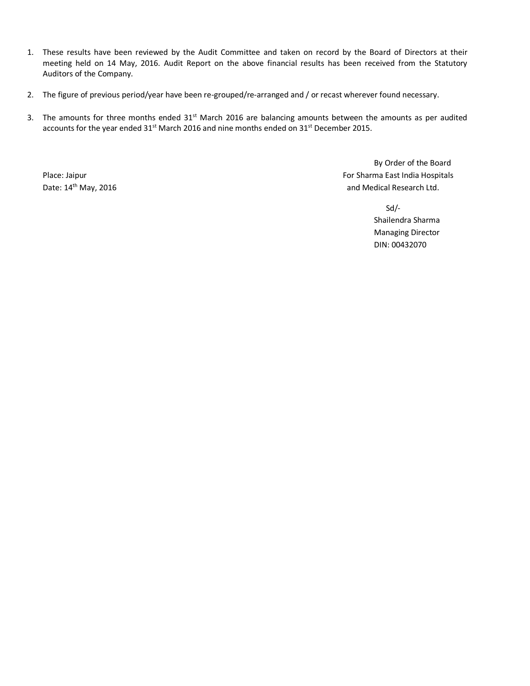- 1. These results have been reviewed by the Audit Committee and taken on record by the Board of Directors at their meeting held on 14 May, 2016. Audit Report on the above financial results has been received from the Statutory Auditors of the Company.
- 2. The figure of previous period/year have been re-grouped/re-arranged and / or recast wherever found necessary.
- 3. The amounts for three months ended 31<sup>st</sup> March 2016 are balancing amounts between the amounts as per audited accounts for the year ended 31<sup>st</sup> March 2016 and nine months ended on 31<sup>st</sup> December 2015.

By Order of the Board Place: Jaipur For Sharma East India Hospitals Date: 14<sup>th</sup> May, 2016 **and Medical Research Ltd.** 

> Sd/- Shailendra Sharma Managing Director DIN: 00432070